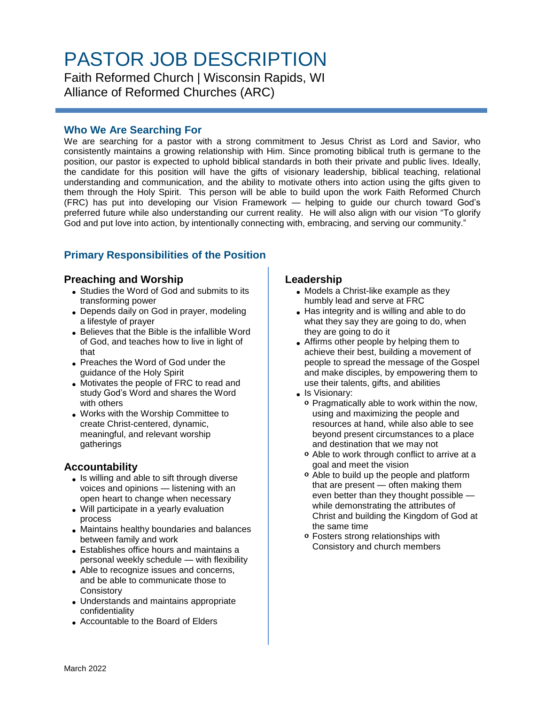# PASTOR JOB DESCRIPTION

Faith Reformed Church | Wisconsin Rapids, WI Alliance of Reformed Churches (ARC)

## **Who We Are Searching For**

We are searching for a pastor with a strong commitment to Jesus Christ as Lord and Savior, who consistently maintains a growing relationship with Him. Since promoting biblical truth is germane to the position, our pastor is expected to uphold biblical standards in both their private and public lives. Ideally, the candidate for this position will have the gifts of visionary leadership, biblical teaching, relational understanding and communication, and the ability to motivate others into action using the gifts given to them through the Holy Spirit. This person will be able to build upon the work Faith Reformed Church (FRC) has put into developing our Vision Framework — helping to guide our church toward God's preferred future while also understanding our current reality. He will also align with our vision "To glorify God and put love into action, by intentionally connecting with, embracing, and serving our community."

## **Primary Responsibilities of the Position**

#### **Preaching and Worship**

- Studies the Word of God and submits to its transforming power
- Depends daily on God in prayer, modeling a lifestyle of prayer
- Believes that the Bible is the infallible Word of God, and teaches how to live in light of that
- Preaches the Word of God under the guidance of the Holy Spirit
- Motivates the people of FRC to read and study God's Word and shares the Word with others
- Works with the Worship Committee to create Christ-centered, dynamic, meaningful, and relevant worship gatherings

## **Accountability**

- Is willing and able to sift through diverse voices and opinions — listening with an open heart to change when necessary
- Will participate in a yearly evaluation process
- Maintains healthy boundaries and balances between family and work
- Establishes office hours and maintains a personal weekly schedule — with flexibility
- Able to recognize issues and concerns, and be able to communicate those to **Consistory**
- Understands and maintains appropriate confidentiality
- Accountable to the Board of Elders

#### **Leadership**

- Models a Christ-like example as they humbly lead and serve at FRC
- Has integrity and is willing and able to do what they say they are going to do, when they are going to do it
- Affirms other people by helping them to achieve their best, building a movement of people to spread the message of the Gospel and make disciples, by empowering them to use their talents, gifts, and abilities
- Is Visionary:
	- o Pragmatically able to work within the now, using and maximizing the people and resources at hand, while also able to see beyond present circumstances to a place and destination that we may not
	- Able to work through conflict to arrive at a goal and meet the vision
	- Able to build up the people and platform that are present — often making them even better than they thought possible while demonstrating the attributes of Christ and building the Kingdom of God at the same time
	- Fosters strong relationships with Consistory and church members